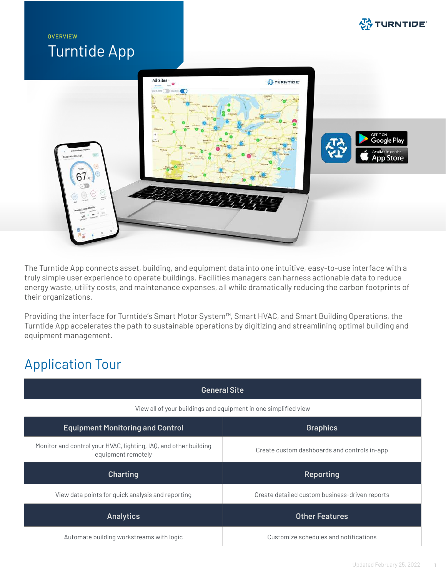## **OVERVIEW** Turntide App





The Turntide App connects asset, building, and equipment data into one intuitive, easy-to-use interface with a truly simple user experience to operate buildings. Facilities managers can harness actionable data to reduce energy waste, utility costs, and maintenance expenses, all while dramatically reducing the carbon footprints of their organizations.

Providing the interface for Turntide's Smart Motor System™, Smart HVAC, and Smart Building Operations, the Turntide App accelerates the path to sustainable operations by digitizing and streamlining optimal building and equipment management.

## Application Tour

| <b>General Site</b>                                                                    |                                                |  |  |  |
|----------------------------------------------------------------------------------------|------------------------------------------------|--|--|--|
| View all of your buildings and equipment in one simplified view                        |                                                |  |  |  |
| <b>Equipment Monitoring and Control</b>                                                | <b>Graphics</b>                                |  |  |  |
| Monitor and control your HVAC, lighting, IAQ, and other building<br>equipment remotely | Create custom dashboards and controls in-app   |  |  |  |
| <b>Charting</b>                                                                        | <b>Reporting</b>                               |  |  |  |
| View data points for quick analysis and reporting                                      | Create detailed custom business-driven reports |  |  |  |
| <b>Analytics</b>                                                                       | <b>Other Features</b>                          |  |  |  |
| Automate building workstreams with logic                                               | Customize schedules and notifications          |  |  |  |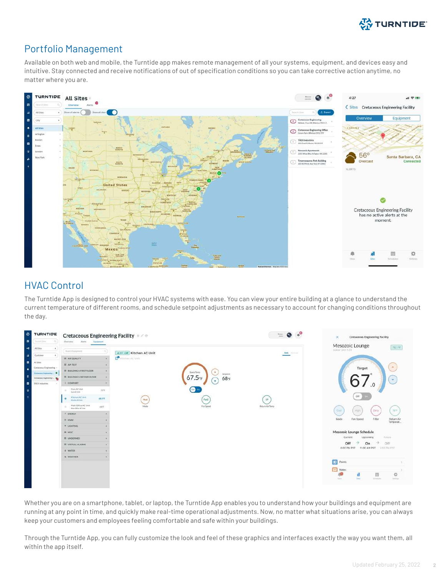

#### Portfolio Management

Available on both web and mobile, the Turntide app makes remote management of all your systems, equipment, and devices easy and intuitive. Stay connected and receive notifications of out of specification conditions so you can take corrective action anytime, no matter where you are.



#### HVAC Control

The Turntide App is designed to control your HVAC systems with ease. You can view your entire building at a glance to understand the current temperature of different rooms, and schedule setpoint adjustments as necessary to account for changing conditions throughout the day.

| 参<br>TURNTIDE                                  | <b>Cretaceous Engineering Facility * / *</b>    |                          | $\equiv$ 0                  | <b>Cretaceous Engineering Facility</b><br>$\times$                               |
|------------------------------------------------|-------------------------------------------------|--------------------------|-----------------------------|----------------------------------------------------------------------------------|
| Summittee.                                     | Alerts Europeent<br>Overview                    |                          |                             |                                                                                  |
| All Sites<br>٠                                 | Sverificialipment                               | answitchen AC Unit       | <b>Baker Schools</b>        | Mesozoic Lounge<br>761年<br>mdoor Unit-1.03                                       |
| Customer<br>$\rightarrow$                      | <b>III</b> AIR QUALITY                          | <b>P</b> Kitchen AC Unit |                             |                                                                                  |
| At they                                        | III APITEST                                     |                          |                             |                                                                                  |
| Crataceous Engineering<br>Orticocet Expressing | <b>III SUILDING A FIRST FLOOR</b>               | Space Terror             | $\mathbf{A}$                | $\mathcal{A}$<br>Target                                                          |
| Creteress Expensive - The                      | <b>III</b> BUILDING A SECOND FLOOR              | $67.5$ <sup>o</sup> F    | Sitpoint<br>$68 - F$        |                                                                                  |
| TRIX industries                                | 1 COMFORT                                       |                          | ٠                           |                                                                                  |
|                                                | Gym AC Unit<br>:70%<br>GreckE Uck               | Cit <sup>1</sup>         |                             |                                                                                  |
|                                                | Kitchen AC Unit<br>ALS'T<br>drivening AVC Cardo | Heat                     | Fanz<br>$19 -$              | Off                                                                              |
|                                                | Main Office AC Unit<br>689<br>Max-00/vs ACG/ml  | Mode                     | FanToned<br>Return Air Temp | 70%                                                                              |
|                                                | <b>FENERGY</b>                                  |                          |                             | Dirty<br>i High<br><b>Cool</b>                                                   |
|                                                | <b>B. HVAC</b>                                  |                          |                             | Filter.<br>Mode<br>Fan Speed<br>Return Air<br>Temperat                           |
|                                                | * LIGHTING                                      |                          |                             |                                                                                  |
|                                                | IR MISC                                         |                          |                             | Mesozoic Lounge Schedule                                                         |
|                                                | III UNDEFINED.                                  |                          |                             | Current<br>Future<br>Upcoming                                                    |
|                                                | <b>III</b> VIRTUAL ALARMS                       |                          |                             | Off<br>→<br>FD.<br>On<br>off                                                     |
|                                                | <b>A WATER</b>                                  |                          |                             | 6:00 PM PST 11:00 AM PST 2:59 PM PST                                             |
|                                                | <b>WEATHER</b>                                  |                          |                             |                                                                                  |
|                                                |                                                 |                          |                             | $\bullet$<br>Points <sup>1</sup>                                                 |
|                                                |                                                 |                          |                             | Notes<br>烧<br>首<br><b>REMARK</b><br><b>Telesting</b><br><b>Silver</b><br>Serbian |

Whether you are on a smartphone, tablet, or laptop, the Turntide App enables you to understand how your buildings and equipment are running at any point in time, and quickly make real-time operational adjustments. Now, no matter what situations arise, you can always keep your customers and employees feeling comfortable and safe within your buildings.

Through the Turntide App, you can fully customize the look and feel of these graphics and interfaces exactly the way you want them, all within the app itself.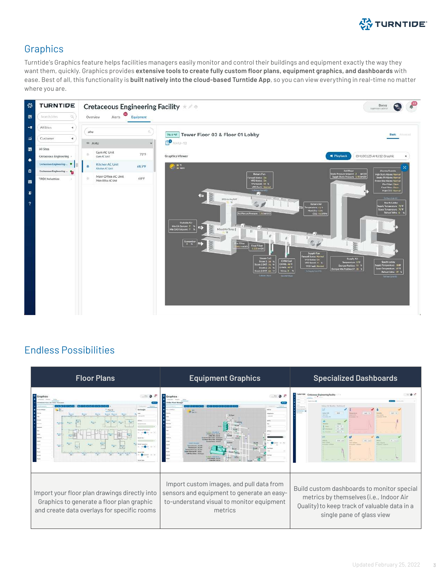

#### **Graphics**

Turntide's Graphics feature helps facilities managers easily monitor and control their buildings and equipment exactly the way they want them, quickly. Graphics provides **extensive tools to create fully custom floor plans, equipment graphics, and dashboards** with ease. Best of all, this functionality is **built natively into the cloud-based Turntide App**, so you can view everything in real-time no matter where you are.



#### Endless Possibilities

| <b>Floor Plans</b>                                                                                                                        | <b>Equipment Graphics</b>                                                                                                                      | <b>Specialized Dashboards</b>                                                                                                                                      |  |  |
|-------------------------------------------------------------------------------------------------------------------------------------------|------------------------------------------------------------------------------------------------------------------------------------------------|--------------------------------------------------------------------------------------------------------------------------------------------------------------------|--|--|
| <b>Call</b>                                                                                                                               | <b>ALCOHOL</b><br><b>BILENE</b> SERVICE                                                                                                        | Cretaceous Engineering Facility<br>Indiana Art Chinese Charleston                                                                                                  |  |  |
| Import your floor plan drawings directly into<br>Graphics to generate a floor plan graphic<br>and create data overlays for specific rooms | Import custom images, and pull data from<br>sensors and equipment to generate an easy-<br>to-understand visual to monitor equipment<br>metrics | Build custom dashboards to monitor special<br>metrics by themselves (i.e., Indoor Air<br>Quality) to keep track of valuable data in a<br>single pane of glass view |  |  |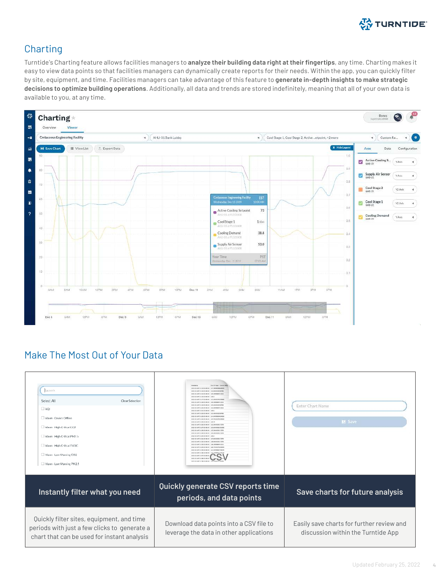

#### **Charting**

Turntide's Charting feature allows facilities managers to **analyze their building data right at their fingertips**, any time. Charting makes it easy to view data points so that facilities managers can dynamically create reports for their needs. Within the app, you can quickly filter by site, equipment, and time. Facilities managers can take advantage of this feature to **generate in-depth insights to make strategic decisions to optimize building operations**. Additionally, all data and trends are stored indefinitely, meaning that all of your own data is available to you, at any time.



### Make The Most Out of Your Data

| Search<br>Select All<br>Clear Selection<br>$\Box$ AQI<br>Alarm - Device Offline<br>Alarm - High Critical CO2<br>Alarm - High Critical PM2.5<br>Alarm - High Critical TVOC<br>Alarm - Low Warning CO2<br>Alarm - Low Warnine PM2.5 | City Of Hope - Corona AAG<br>timestams<br>2022-02-14710:13:00-08:00 137.39999389648438<br>2022-00-14T10-14-00-08-00 132-65000535999<br>3022-03-14710-15-00-08-00 125-000004741211<br>2022-02-14T10:16:00-08:00 118.5<br>2022-02-14T10:17:00-08:00 113.2000007629394<br>2022-02-14T11-18-00-08-00 109-09998474121<br>2022-02-14710-19-00-08-00 105-6500015258285<br>2022-02-14710-20:00-08:00 102.599999474121<br>2022-02-14T10:21:00-08:00 109.5<br>2022-02-14T10:22.00-08:00 110.400001525878<br>2022-02-14T1E:23:00-08:00 114.94999694824219<br>3023-03-14T1E-34-00-06-00 123 70000076203045<br>2022-02-14T11-25-00-08-00 129-71<br>2022-02-14T1E-26-00-08-00 132-300003051757<br>2022/03/14T11-22-00-06-00 133-6000061035156<br>2022-02-14T11-28:00-08:00 135.3000030517576<br>2022-02-14710-28-00-08-00 135.3000000517576<br>2022-02-14710-30-00-08-00 136.5<br>2022-02-14T11-31-00-08-00 137.8000030517576<br>2022-02-14T11-32.00-08:00 138.8000030517576<br>2022-02-14T1E-33:00-08:00 136.099998474121<br>2022-02-14710-34-00-08-00 128-70000076293945<br>2022-02-14T10-35-00-08-00 121-5499992320605<br>3023-03-14715-36-00-08-00 116-149890713360<br>2022-02-14T10-37-00-08-00<br>2022-02-14T10-38-00-08 | Enter Chart Name<br><b>DI</b> Save                                              |
|-----------------------------------------------------------------------------------------------------------------------------------------------------------------------------------------------------------------------------------|------------------------------------------------------------------------------------------------------------------------------------------------------------------------------------------------------------------------------------------------------------------------------------------------------------------------------------------------------------------------------------------------------------------------------------------------------------------------------------------------------------------------------------------------------------------------------------------------------------------------------------------------------------------------------------------------------------------------------------------------------------------------------------------------------------------------------------------------------------------------------------------------------------------------------------------------------------------------------------------------------------------------------------------------------------------------------------------------------------------------------------------------------------------------------------------------------------------|---------------------------------------------------------------------------------|
| Instantly filter what you need                                                                                                                                                                                                    | Quickly generate CSV reports time<br>periods, and data points                                                                                                                                                                                                                                                                                                                                                                                                                                                                                                                                                                                                                                                                                                                                                                                                                                                                                                                                                                                                                                                                                                                                                    | Save charts for future analysis                                                 |
| Quickly filter sites, equipment, and time<br>periods with just a few clicks to generate a<br>chart that can be used for instant analysis                                                                                          | Download data points into a CSV file to<br>leverage the data in other applications                                                                                                                                                                                                                                                                                                                                                                                                                                                                                                                                                                                                                                                                                                                                                                                                                                                                                                                                                                                                                                                                                                                               | Easily save charts for further review and<br>discussion within the Turntide App |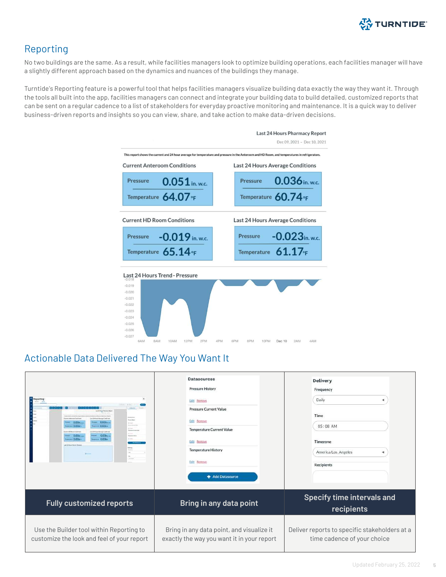

#### Reporting

No two buildings are the same. As a result, while facilities managers look to optimize building operations, each facilities manager will have a slightly different approach based on the dynamics and nuances of the buildings they manage.

Turntide's Reporting feature is a powerful tool that helps facilities managers visualize building data exactly the way they want it. Through the tools all built into the app, facilities managers can connect and integrate your building data to build detailed, customized reports that can be sent on a regular cadence to a list of stakeholders for everyday proactive monitoring and maintenance. It is a quick way to deliver business-driven reports and insights so you can view, share, and take action to make data-driven decisions.



#### Actionable Data Delivered The Way You Want It

| Reporting<br><b>School</b><br>(341 km/s Ave ap Credition<br><b>Great Blanch</b><br>0.03 Km<br>$0.03x -$<br><b>CALLING</b><br>$-0.03x +$<br>$-0.03x +$<br><b>ACM Huas Avenue Continue</b><br>0.03x<br>$= 0.03$ Kna<br><b><i><u>SHORTH</u></i></b><br>$-$ 0.03x -<br>$- 0.03e$<br>$+ - +$<br>and LETTUCK BANK Streamer<br><b>SIGHT</b> | <b>Datasources</b><br><b>Pressure History</b><br>Edit Remove<br><b>Pressure Current Value</b><br>Edit Remove<br><b>Temperature Current Value</b><br>Edit Remove<br><b>Temperature History</b><br>Edit Remove<br>+ Add Datasource | Delivery<br>Frequency<br>Daily<br>Time<br>05:08 AM<br>Timezone<br>America/Los Angeles<br><b>Recipients</b> |
|--------------------------------------------------------------------------------------------------------------------------------------------------------------------------------------------------------------------------------------------------------------------------------------------------------------------------------------|----------------------------------------------------------------------------------------------------------------------------------------------------------------------------------------------------------------------------------|------------------------------------------------------------------------------------------------------------|
| <b>Fully customized reports</b>                                                                                                                                                                                                                                                                                                      | Bring in any data point                                                                                                                                                                                                          | <b>Specify time intervals and</b><br>recipients                                                            |
| Use the Builder tool within Reporting to<br>customize the look and feel of your report                                                                                                                                                                                                                                               | Bring in any data point, and visualize it<br>exactly the way you want it in your report                                                                                                                                          | Deliver reports to specific stakeholders at a<br>time cadence of your choice                               |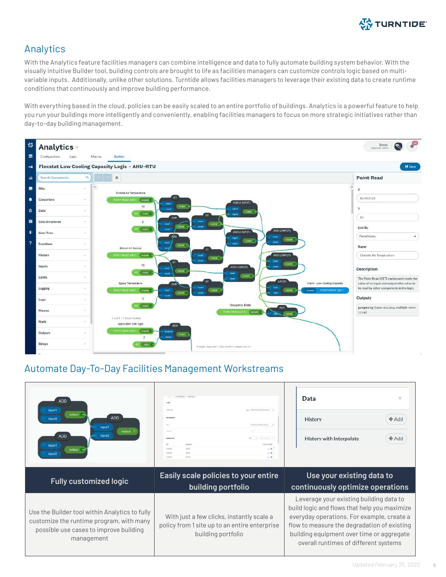

#### Analytics

With the Analytics feature facilities managers can combine intelligence and data to fully automate building system behavior. With the visually intuitive Builder tool, building controls are brought to life as facilities managers can customize controls logic based on multivariable inputs. Additionally, unlike other solutions, Turntide allows facilities managers to leverage their existing data to create runtime conditions that continuously and improve building performance.

With everything based in the cloud, policies can be easily scaled to an entire portfolio of buildings. Analytics is a powerful feature to help you run your buildings more intelligently and conveniently, enabling facilities managers to focus on more strategic initiatives rather than day-to-day building management.



#### Automate Day-To-Day Facilities Management Workstreams

| <b>ADD</b><br>input1<br>output<br><b>ADD</b><br>input2<br>input1<br>output<br><b>ADD</b><br>input2<br>input1<br>output<br>input2                   | <b>Light Lat</b><br>\$150,000 \$150,000 \$150,000 \$150.<br>Equippiaset<br>$-8$<br><b>CONTRACTOR</b><br><b>WHATE</b><br>Accounts<br>$-10$<br>$-1$ | Data<br>v<br>History<br>$#$ Add<br><b>History with Interpolate</b><br>$#$ Add                                                                                                                                                                                              |  |
|----------------------------------------------------------------------------------------------------------------------------------------------------|---------------------------------------------------------------------------------------------------------------------------------------------------|----------------------------------------------------------------------------------------------------------------------------------------------------------------------------------------------------------------------------------------------------------------------------|--|
| <b>Fully customized logic</b>                                                                                                                      | Easily scale policies to your entire<br>building portfolio                                                                                        | Use your existing data to<br>continuously optimize operations                                                                                                                                                                                                              |  |
| Use the Builder tool within Analytics to fully<br>customize the runtime program, with many<br>possible use cases to improve building<br>management | With just a few clicks, instantly scale a<br>policy from 1 site up to an entire enterprise<br>building portfolio                                  | Leverage your existing building data to<br>build logic and flows that help you maximize<br>everyday operations. For example, create a<br>flow to measure the degradation of existing<br>building equipment over time or aggregate<br>overall runtimes of different systems |  |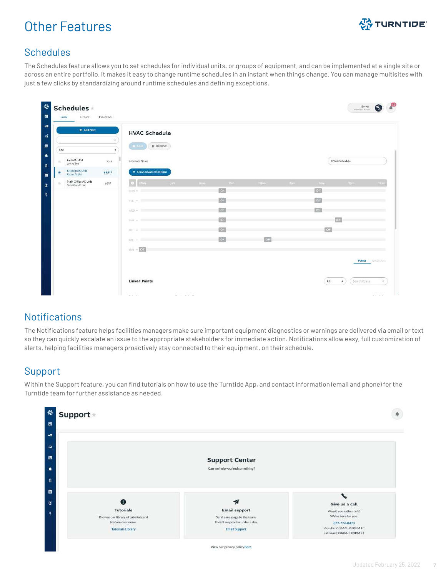## Other Features



#### **Schedules**

The Schedules feature allows you to set schedules for individual units, or groups of equipment, and can be implemented at a single site or across an entire portfolio. It makes it easy to change runtime schedules in an instant when things change. You can manage multisites with just a few clicks by standardizing around runtime schedules and defining exceptions.

|                                            | + Add New      | <b>HVAC Schedule</b>  |                  |              |                 |      |        |           |                      |                   |
|--------------------------------------------|----------------|-----------------------|------------------|--------------|-----------------|------|--------|-----------|----------------------|-------------------|
| Site                                       | a<br>$\prec$   | <b>M</b> Save         | <b>II</b> Remove |              |                 |      |        |           |                      |                   |
| Gym AC Unit<br>ö.<br>Gyer AC Unit          | 70°F           | Schedule Name         |                  |              |                 |      |        |           | <b>HVAC Schedule</b> |                   |
| Kitchen AC Unit<br>感<br>Kitchen AC Unit    | 68.5°F         | Show advanced options |                  |              |                 |      |        |           |                      |                   |
| Main Office AC Unit<br>Mein Office AC Unit | $66^o\text{F}$ | G.<br>12mm            | 3am              | $-3$ and $-$ | - Vam           | 12pm | - Sym- | opm.      | $-9\mu m$            | $-31240$          |
|                                            |                | MON -                 |                  |              | n <sub>cm</sub> |      |        | Off       |                      |                   |
|                                            |                | TUE =                 |                  |              | c <sub>n</sub>  |      |        | $o$       |                      |                   |
|                                            |                | WED +                 |                  |              | On.             |      |        | Off       |                      |                   |
|                                            |                | THE W. T.             |                  |              | c <sub>n</sub>  |      |        |           | <b>Cott</b>          |                   |
|                                            |                | $101 - 9$             |                  |              | $\alpha$        |      |        | <b>CH</b> |                      |                   |
|                                            |                | SAT : W. T.           |                  |              | $\alpha$        | Gff  |        |           |                      |                   |
|                                            |                | $100 + 00$            |                  |              |                 |      |        |           |                      |                   |
|                                            |                |                       |                  |              |                 |      |        |           |                      | Points Exceptions |
|                                            |                |                       |                  |              |                 |      |        |           |                      |                   |

#### **Notifications**

The Notifications feature helps facilities managers make sure important equipment diagnostics or warnings are delivered via email or text so they can quickly escalate an issue to the appropriate stakeholders for immediate action. Notifications allow easy, full customization of alerts, helping facilities managers proactively stay connected to their equipment, on their schedule.

#### Support

Within the Support feature, you can find tutorials on how to use the Turntide App, and contact information (email and phone) for the Turntide team for further assistance as needed.